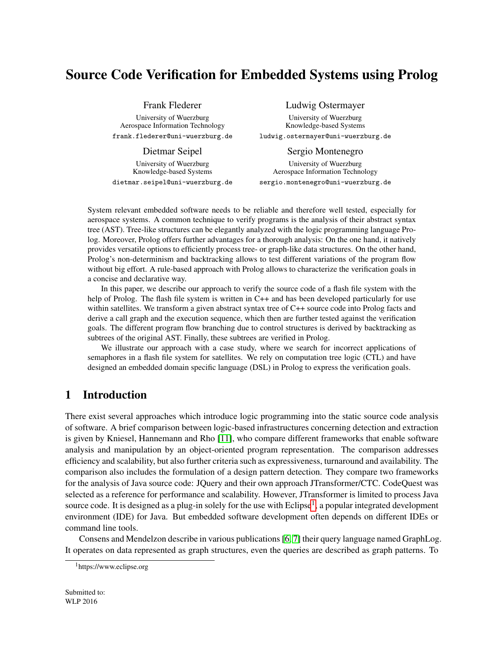# Source Code Verification for Embedded Systems using Prolog

Frank Flederer

University of Wuerzburg Aerospace Information Technology frank.flederer@uni-wuerzburg.de

Dietmar Seipel University of Wuerzburg Knowledge-based Systems dietmar.seipel@uni-wuerzburg.de

#### Ludwig Ostermayer

University of Wuerzburg Knowledge-based Systems ludwig.ostermayer@uni-wuerzburg.de

Sergio Montenegro University of Wuerzburg Aerospace Information Technology sergio.montenegro@uni-wuerzburg.de

System relevant embedded software needs to be reliable and therefore well tested, especially for aerospace systems. A common technique to verify programs is the analysis of their abstract syntax tree (AST). Tree-like structures can be elegantly analyzed with the logic programming language Prolog. Moreover, Prolog offers further advantages for a thorough analysis: On the one hand, it natively provides versatile options to efficiently process tree- or graph-like data structures. On the other hand, Prolog's non-determinism and backtracking allows to test different variations of the program flow without big effort. A rule-based approach with Prolog allows to characterize the verification goals in a concise and declarative way.

In this paper, we describe our approach to verify the source code of a flash file system with the help of Prolog. The flash file system is written in C++ and has been developed particularly for use within satellites. We transform a given abstract syntax tree of C++ source code into Prolog facts and derive a call graph and the execution sequence, which then are further tested against the verification goals. The different program flow branching due to control structures is derived by backtracking as subtrees of the original AST. Finally, these subtrees are verified in Prolog.

We illustrate our approach with a case study, where we search for incorrect applications of semaphores in a flash file system for satellites. We rely on computation tree logic (CTL) and have designed an embedded domain specific language (DSL) in Prolog to express the verification goals.

## 1 Introduction

There exist several approaches which introduce logic programming into the static source code analysis of software. A brief comparison between logic-based infrastructures concerning detection and extraction is given by Kniesel, Hannemann and Rho [\[11\]](#page-13-0), who compare different frameworks that enable software analysis and manipulation by an object-oriented program representation. The comparison addresses efficiency and scalability, but also further criteria such as expressiveness, turnaround and availability. The comparison also includes the formulation of a design pattern detection. They compare two frameworks for the analysis of Java source code: JQuery and their own approach JTransformer/CTC. CodeQuest was selected as a reference for performance and scalability. However, JTransformer is limited to process Java source code. It is designed as a plug-in solely for the use with Eclipse<sup>[1](#page-0-0)</sup>, a popular integrated development environment (IDE) for Java. But embedded software development often depends on different IDEs or command line tools.

Consens and Mendelzon describe in various publications [\[6,](#page-13-1) [7\]](#page-13-2) their query language named GraphLog. It operates on data represented as graph structures, even the queries are described as graph patterns. To

<span id="page-0-0"></span><sup>1</sup>https://www.eclipse.org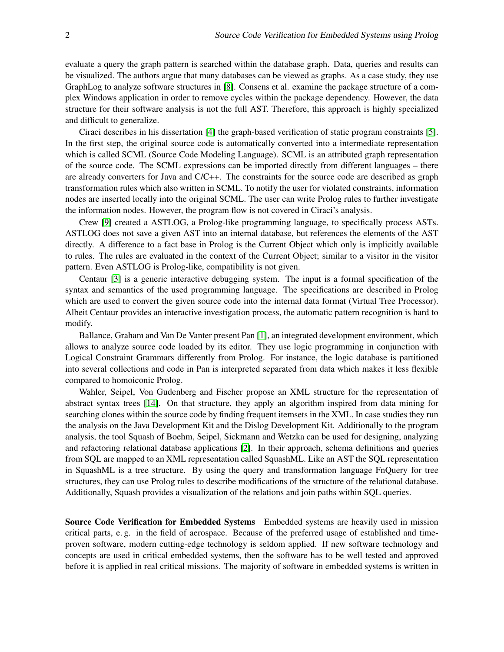evaluate a query the graph pattern is searched within the database graph. Data, queries and results can be visualized. The authors argue that many databases can be viewed as graphs. As a case study, they use GraphLog to analyze software structures in [\[8\]](#page-13-3). Consens et al. examine the package structure of a complex Windows application in order to remove cycles within the package dependency. However, the data structure for their software analysis is not the full AST. Therefore, this approach is highly specialized and difficult to generalize.

Ciraci describes in his dissertation [\[4\]](#page-13-4) the graph-based verification of static program constraints [\[5\]](#page-13-5). In the first step, the original source code is automatically converted into a intermediate representation which is called SCML (Source Code Modeling Language). SCML is an attributed graph representation of the source code. The SCML expressions can be imported directly from different languages – there are already converters for Java and C/C++. The constraints for the source code are described as graph transformation rules which also written in SCML. To notify the user for violated constraints, information nodes are inserted locally into the original SCML. The user can write Prolog rules to further investigate the information nodes. However, the program flow is not covered in Ciraci's analysis.

Crew [\[9\]](#page-13-6) created a ASTLOG, a Prolog-like programming language, to specifically process ASTs. ASTLOG does not save a given AST into an internal database, but references the elements of the AST directly. A difference to a fact base in Prolog is the Current Object which only is implicitly available to rules. The rules are evaluated in the context of the Current Object; similar to a visitor in the visitor pattern. Even ASTLOG is Prolog-like, compatibility is not given.

Centaur [\[3\]](#page-13-7) is a generic interactive debugging system. The input is a formal specification of the syntax and semantics of the used programming language. The specifications are described in Prolog which are used to convert the given source code into the internal data format (Virtual Tree Processor). Albeit Centaur provides an interactive investigation process, the automatic pattern recognition is hard to modify.

Ballance, Graham and Van De Vanter present Pan [\[1\]](#page-13-8), an integrated development environment, which allows to analyze source code loaded by its editor. They use logic programming in conjunction with Logical Constraint Grammars differently from Prolog. For instance, the logic database is partitioned into several collections and code in Pan is interpreted separated from data which makes it less flexible compared to homoiconic Prolog.

Wahler, Seipel, Von Gudenberg and Fischer propose an XML structure for the representation of abstract syntax trees [\[14\]](#page-14-0). On that structure, they apply an algorithm inspired from data mining for searching clones within the source code by finding frequent itemsets in the XML. In case studies they run the analysis on the Java Development Kit and the Dislog Development Kit. Additionally to the program analysis, the tool Squash of Boehm, Seipel, Sickmann and Wetzka can be used for designing, analyzing and refactoring relational database applications [\[2\]](#page-13-9). In their approach, schema definitions and queries from SQL are mapped to an XML representation called SquashML. Like an AST the SQL representation in SquashML is a tree structure. By using the query and transformation language FnQuery for tree structures, they can use Prolog rules to describe modifications of the structure of the relational database. Additionally, Squash provides a visualization of the relations and join paths within SQL queries.

Source Code Verification for Embedded Systems Embedded systems are heavily used in mission critical parts, e. g. in the field of aerospace. Because of the preferred usage of established and timeproven software, modern cutting-edge technology is seldom applied. If new software technology and concepts are used in critical embedded systems, then the software has to be well tested and approved before it is applied in real critical missions. The majority of software in embedded systems is written in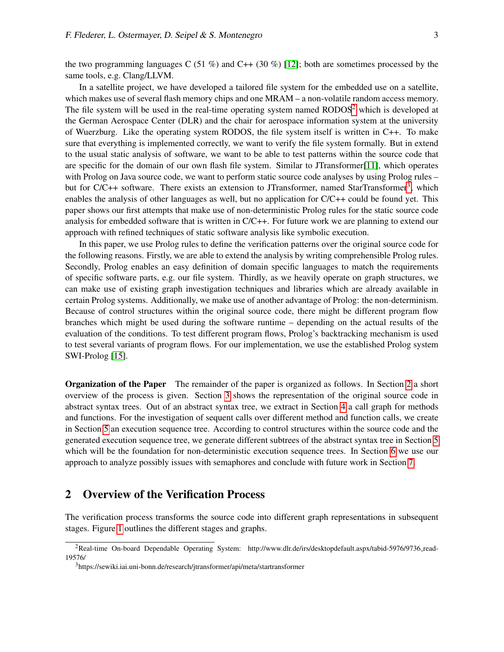the two programming languages C (51 %) and C++ (30 %) [\[12\]](#page-14-1); both are sometimes processed by the same tools, e.g. Clang/LLVM.

In a satellite project, we have developed a tailored file system for the embedded use on a satellite, which makes use of several flash memory chips and one MRAM – a non-volatile random access memory. The file system will be used in the real-time operating system named RODOS<sup>[2](#page-2-0)</sup> which is developed at the German Aerospace Center (DLR) and the chair for aerospace information system at the university of Wuerzburg. Like the operating system RODOS, the file system itself is written in C++. To make sure that everything is implemented correctly, we want to verify the file system formally. But in extend to the usual static analysis of software, we want to be able to test patterns within the source code that are specific for the domain of our own flash file system. Similar to JTransformer[\[11\]](#page-13-0), which operates with Prolog on Java source code, we want to perform static source code analyses by using Prolog rules – but for C/C++ software. There exists an extension to JTransformer, named StarTransformer<sup>[3](#page-2-1)</sup>, which enables the analysis of other languages as well, but no application for  $C/C++$  could be found yet. This paper shows our first attempts that make use of non-deterministic Prolog rules for the static source code analysis for embedded software that is written in C/C++. For future work we are planning to extend our approach with refined techniques of static software analysis like symbolic execution.

In this paper, we use Prolog rules to define the verification patterns over the original source code for the following reasons. Firstly, we are able to extend the analysis by writing comprehensible Prolog rules. Secondly, Prolog enables an easy definition of domain specific languages to match the requirements of specific software parts, e.g. our file system. Thirdly, as we heavily operate on graph structures, we can make use of existing graph investigation techniques and libraries which are already available in certain Prolog systems. Additionally, we make use of another advantage of Prolog: the non-determinism. Because of control structures within the original source code, there might be different program flow branches which might be used during the software runtime – depending on the actual results of the evaluation of the conditions. To test different program flows, Prolog's backtracking mechanism is used to test several variants of program flows. For our implementation, we use the established Prolog system SWI-Prolog [\[15\]](#page-14-2).

Organization of the Paper The remainder of the paper is organized as follows. In Section [2](#page-2-2) a short overview of the process is given. Section [3](#page-3-0) shows the representation of the original source code in abstract syntax trees. Out of an abstract syntax tree, we extract in Section [4](#page-5-0) a call graph for methods and functions. For the investigation of sequent calls over different method and function calls, we create in Section [5](#page-7-0) an execution sequence tree. According to control structures within the source code and the generated execution sequence tree, we generate different subtrees of the abstract syntax tree in Section [5](#page-9-0) which will be the foundation for non-deterministic execution sequence trees. In Section [6](#page-11-0) we use our approach to analyze possibly issues with semaphores and conclude with future work in Section [7.](#page-13-10)

### <span id="page-2-2"></span>2 Overview of the Verification Process

The verification process transforms the source code into different graph representations in subsequent stages. Figure [1](#page-3-1) outlines the different stages and graphs.

<span id="page-2-0"></span><sup>&</sup>lt;sup>2</sup>Real-time On-board Dependable Operating System: http://www.dlr.de/irs/desktopdefault.aspx/tabid-5976/9736\_read-19576/

<span id="page-2-1"></span><sup>3</sup>https://sewiki.iai.uni-bonn.de/research/jtransformer/api/meta/startransformer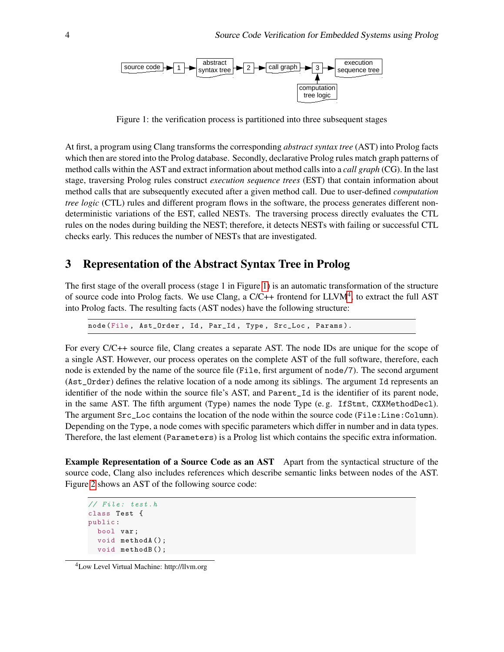

<span id="page-3-1"></span>Figure 1: the verification process is partitioned into three subsequent stages

At first, a program using Clang transforms the corresponding *abstract syntax tree* (AST) into Prolog facts which then are stored into the Prolog database. Secondly, declarative Prolog rules match graph patterns of method calls within the AST and extract information about method calls into a *call graph* (CG). In the last stage, traversing Prolog rules construct *execution sequence trees* (EST) that contain information about method calls that are subsequently executed after a given method call. Due to user-defined *computation tree logic* (CTL) rules and different program flows in the software, the process generates different nondeterministic variations of the EST, called NESTs. The traversing process directly evaluates the CTL rules on the nodes during building the NEST; therefore, it detects NESTs with failing or successful CTL checks early. This reduces the number of NESTs that are investigated.

#### <span id="page-3-0"></span>3 Representation of the Abstract Syntax Tree in Prolog

The first stage of the overall process (stage 1 in Figure [1\)](#page-3-1) is an automatic transformation of the structure of source code into Prolog facts. We use Clang, a  $C/C++$  frontend for  $LLVM<sup>4</sup>$  $LLVM<sup>4</sup>$  $LLVM<sup>4</sup>$ , to extract the full AST into Prolog facts. The resulting facts (AST nodes) have the following structure:

node (File, Ast\_Order, Id, Par\_Id, Type, Src\_Loc, Params).

For every C/C++ source file, Clang creates a separate AST. The node IDs are unique for the scope of a single AST. However, our process operates on the complete AST of the full software, therefore, each node is extended by the name of the source file (File, first argument of node/7). The second argument (Ast\_Order) defines the relative location of a node among its siblings. The argument Id represents an identifier of the node within the source file's AST, and Parent\_Id is the identifier of its parent node, in the same AST. The fifth argument (Type) names the node Type (e. g. IfStmt, CXXMethodDecl). The argument Src\_Loc contains the location of the node within the source code (File:Line:Column). Depending on the Type, a node comes with specific parameters which differ in number and in data types. Therefore, the last element (Parameters) is a Prolog list which contains the specific extra information.

Example Representation of a Source Code as an AST Apart from the syntactical structure of the source code, Clang also includes references which describe semantic links between nodes of the AST. Figure [2](#page-4-0) shows an AST of the following source code:

```
// File: test.h
class Test {
public :
  bool var ;
  void methodA ();
  void methodB ();
```
<span id="page-3-2"></span><sup>4</sup>Low Level Virtual Machine: http://llvm.org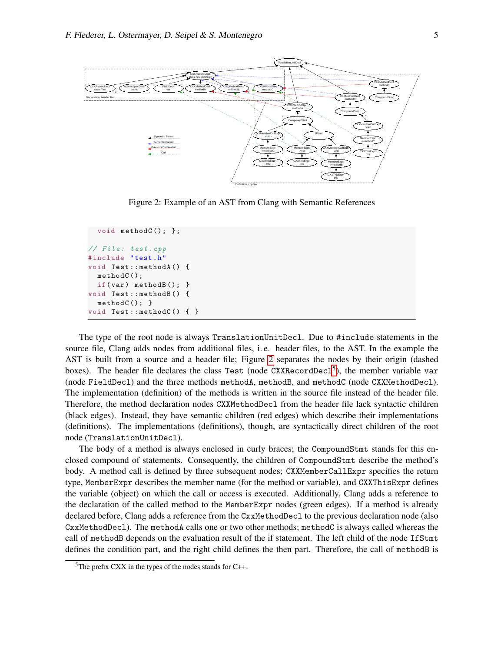

<span id="page-4-0"></span>Figure 2: Example of an AST from Clang with Semantic References

```
void methodC(); };
// File: test.cpp
# include " test .h"
void Test :: methodA () {
  methodC ();
  if(var) methodB(); }
void Test :: methodB () {
  methodC(); }
void Test::methodC() { }
```
The type of the root node is always TranslationUnitDecl. Due to #include statements in the source file, Clang adds nodes from additional files, i. e. header files, to the AST. In the example the AST is built from a source and a header file; Figure [2](#page-4-0) separates the nodes by their origin (dashed boxes). The header file declares the class Test (node  $CXXRecordDec1<sup>5</sup>$  $CXXRecordDec1<sup>5</sup>$  $CXXRecordDec1<sup>5</sup>$ ), the member variable var (node FieldDecl) and the three methods methodA, methodB, and methodC (node CXXMethodDecl). The implementation (definition) of the methods is written in the source file instead of the header file. Therefore, the method declaration nodes CXXMethodDecl from the header file lack syntactic children (black edges). Instead, they have semantic children (red edges) which describe their implementations (definitions). The implementations (definitions), though, are syntactically direct children of the root node (TranslationUnitDecl).

The body of a method is always enclosed in curly braces; the CompoundStmt stands for this enclosed compound of statements. Consequently, the children of CompoundStmt describe the method's body. A method call is defined by three subsequent nodes; CXXMemberCallExpr specifies the return type, MemberExpr describes the member name (for the method or variable), and CXXThisExpr defines the variable (object) on which the call or access is executed. Additionally, Clang adds a reference to the declaration of the called method to the MemberExpr nodes (green edges). If a method is already declared before, Clang adds a reference from the CxxMethodDecl to the previous declaration node (also CxxMethodDecl). The methodA calls one or two other methods; methodC is always called whereas the call of methodB depends on the evaluation result of the if statement. The left child of the node IfStmt defines the condition part, and the right child defines the then part. Therefore, the call of methodB is

<span id="page-4-1"></span> $5$ The prefix CXX in the types of the nodes stands for C++.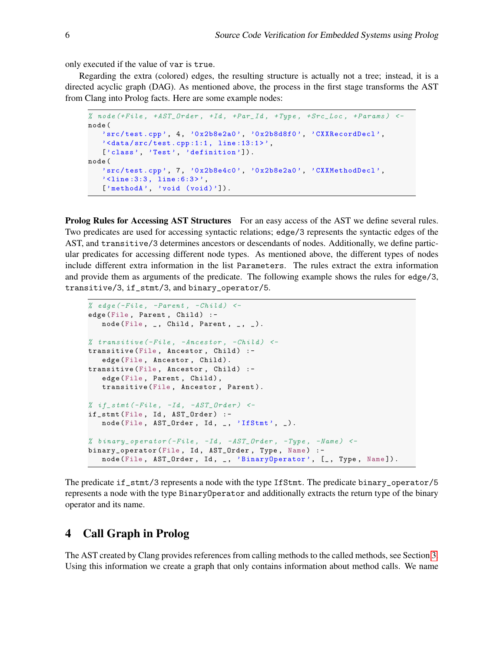only executed if the value of var is true.

Regarding the extra (colored) edges, the resulting structure is actually not a tree; instead, it is a directed acyclic graph (DAG). As mentioned above, the process in the first stage transforms the AST from Clang into Prolog facts. Here are some example nodes:

```
% node (+ File , + AST_Order , +Id , +Par_Id , +Type , + Src_Loc , + Params ) <-
node (
   'src/test.cpp', 4, '0x2b8e2a0', '0x2b8d8f0', 'CXXRecordDecl',
   \lambda <data/src/test.cpp:1:1, line:13:1>',
   ['class', 'Test', 'definition']).
node (
   'src/test.cpp', 7, '0x2b8e4c0', '0x2b8e2a0', 'CXXMethodDecl',
   '<line:3:3, line:6:3>',
   ['methodA', 'void (void)']).
```
**Prolog Rules for Accessing AST Structures** For an easy access of the AST we define several rules. Two predicates are used for accessing syntactic relations; edge/3 represents the syntactic edges of the AST, and transitive/3 determines ancestors or descendants of nodes. Additionally, we define particular predicates for accessing different node types. As mentioned above, the different types of nodes include different extra information in the list Parameters. The rules extract the extra information and provide them as arguments of the predicate. The following example shows the rules for edge/3, transitive/3, if\_stmt/3, and binary\_operator/5.

```
% edge (-File, -Parent, -Child) <-
edge (File, Parent, Child) :-
   node (File, \overline{\phantom{a}}, Child, Parent, \overline{\phantom{a}}, \overline{\phantom{a}}).
% transitive (-File, -Ancestor, -Child) <-
transitive (File, Ancestor, Child) :-
   edge (File, Ancestor, Child).
transitive (File, Ancestor, Child) :-
   edge (File, Parent, Child),
   transitive (File, Ancestor, Parent).
% if\_stmt (-File, -Id, -AST\_Order) <-
if_stmt (File, Id, AST_Order) :-
   node (File, AST_Order, Id, _, 'IfStmt', _).
% binary_operator (-File, -Id, -AST Order, -Type, -Name) <-
binary_operator (File, Id, AST_Order, Type, Name) :-
   node (File, AST_Order, Id, _, 'BinaryOperator', [_, Type, Name]).
```
The predicate if\_stmt/3 represents a node with the type IfStmt. The predicate binary\_operator/5 represents a node with the type BinaryOperator and additionally extracts the return type of the binary operator and its name.

### <span id="page-5-0"></span>4 Call Graph in Prolog

The AST created by Clang provides references from calling methods to the called methods, see Section [3.](#page-3-0) Using this information we create a graph that only contains information about method calls. We name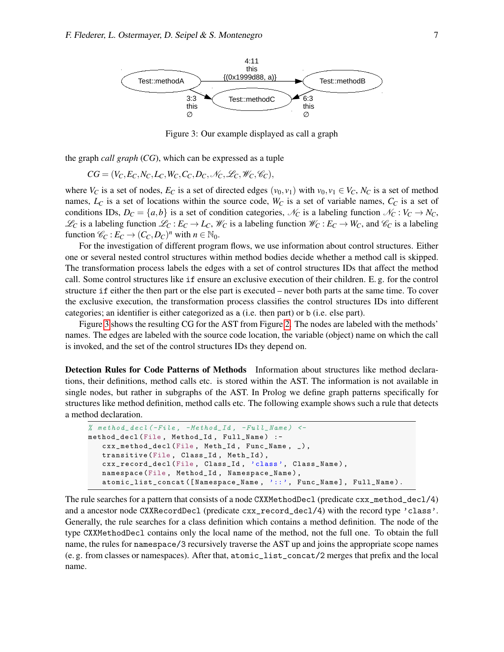

<span id="page-6-0"></span>Figure 3: Our example displayed as call a graph

the graph *call graph* (*CG*), which can be expressed as a tuple

$$
CG = (V_C, E_C, N_C, L_C, W_C, C_C, D_C, \mathcal{N}_C, \mathcal{L}_C, \mathcal{W}_C, \mathcal{C}_C),
$$

where  $V_C$  is a set of nodes,  $E_C$  is a set of directed edges  $(v_0, v_1)$  with  $v_0, v_1 \in V_C$ ,  $N_C$  is a set of method names, *L<sup>C</sup>* is a set of locations within the source code, *W<sup>C</sup>* is a set of variable names, *C<sup>C</sup>* is a set of conditions IDs,  $D_C = \{a,b\}$  is a set of condition categories,  $\mathcal{N}_C$  is a labeling function  $\mathcal{N}_C : V_C \to N_C$ ,  $\mathcal{L}_C$  is a labeling function  $\mathcal{L}_C : E_C \to L_C$ ,  $\mathcal{W}_C$  is a labeling function  $\mathcal{W}_C : E_C \to W_C$ , and  $\mathcal{C}_C$  is a labeling function  $\mathcal{C}_C : E_C \to (C_C, D_C)^n$  with  $n \in \mathbb{N}_0$ .

For the investigation of different program flows, we use information about control structures. Either one or several nested control structures within method bodies decide whether a method call is skipped. The transformation process labels the edges with a set of control structures IDs that affect the method call. Some control structures like if ensure an exclusive execution of their children. E. g. for the control structure if either the then part or the else part is executed – never both parts at the same time. To cover the exclusive execution, the transformation process classifies the control structures IDs into different categories; an identifier is either categorized as a (i.e. then part) or b (i.e. else part).

Figure [3](#page-6-0) shows the resulting CG for the AST from Figure [2.](#page-4-0) The nodes are labeled with the methods' names. The edges are labeled with the source code location, the variable (object) name on which the call is invoked, and the set of the control structures IDs they depend on.

Detection Rules for Code Patterns of Methods Information about structures like method declarations, their definitions, method calls etc. is stored within the AST. The information is not available in single nodes, but rather in subgraphs of the AST. In Prolog we define graph patterns specifically for structures like method definition, method calls etc. The following example shows such a rule that detects a method declaration.

```
% method_decl (-File, -Method\_Id, -Full\_Name) <-
method_decl (File, Method_Id, Full_Name) :-
   cxx_method_decl (File, Meth_Id, Func_Name, _),
   transitive (File, Class_Id, Meth_Id),
   cxx_record_decl (File , Class_Id , 'class ', Class_Name ) ,
   namespace (File , Method_Id , Namespace_Name ) ,
   atomic_list_concat ([Namespace_Name, '::', Func_Name], Full_Name).
```
The rule searches for a pattern that consists of a node CXXMethodDecl (predicate cxx\_method\_decl/4) and a ancestor node CXXRecordDecl (predicate cxx\_record\_decl/4) with the record type 'class'. Generally, the rule searches for a class definition which contains a method definition. The node of the type CXXMethodDecl contains only the local name of the method, not the full one. To obtain the full name, the rules for namespace/3 recursively traverse the AST up and joins the appropriate scope names (e. g. from classes or namespaces). After that, atomic\_list\_concat/2 merges that prefix and the local name.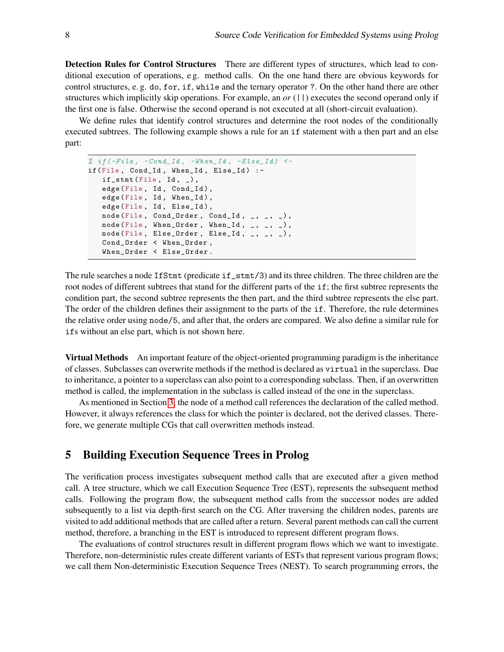Detection Rules for Control Structures There are different types of structures, which lead to conditional execution of operations, e g. method calls. On the one hand there are obvious keywords for control structures, e. g. do, for, if, while and the ternary operator ?. On the other hand there are other structures which implicitly skip operations. For example, an *or* (||) executes the second operand only if the first one is false. Otherwise the second operand is not executed at all (short-circuit evaluation).

We define rules that identify control structures and determine the root nodes of the conditionally executed subtrees. The following example shows a rule for an if statement with a then part and an else part:

```
% if (-File, -Cond\_Id, -When\_Id, -Else\_Id) <-
if (File, Cond_Id, When_Id, Else_Id) :-
   if\_stmt(File, Id, _-),
   edge (File, Id, Cond_Id),
   edge (File, Id, When_Id),
   edge (File, Id, Else_Id),
   node (File, Cond_Order, Cond_Id, _, _, _),
   node (File, When_Order, When_Id, _1, _2, _1),
   node (File, Else_Order, Else_Id, _{-}, _{-}, _{-}),
   Cond_Order < When_Order ,
   When_Order < Else_Order .
```
The rule searches a node IfStmt (predicate if\_stmt/3) and its three children. The three children are the root nodes of different subtrees that stand for the different parts of the if; the first subtree represents the condition part, the second subtree represents the then part, and the third subtree represents the else part. The order of the children defines their assignment to the parts of the if. Therefore, the rule determines the relative order using node/5, and after that, the orders are compared. We also define a similar rule for ifs without an else part, which is not shown here.

Virtual Methods An important feature of the object-oriented programming paradigm is the inheritance of classes. Subclasses can overwrite methods if the method is declared as virtual in the superclass. Due to inheritance, a pointer to a superclass can also point to a corresponding subclass. Then, if an overwritten method is called, the implementation in the subclass is called instead of the one in the superclass.

As mentioned in Section [3,](#page-3-0) the node of a method call references the declaration of the called method. However, it always references the class for which the pointer is declared, not the derived classes. Therefore, we generate multiple CGs that call overwritten methods instead.

#### <span id="page-7-0"></span>5 Building Execution Sequence Trees in Prolog

The verification process investigates subsequent method calls that are executed after a given method call. A tree structure, which we call Execution Sequence Tree (EST), represents the subsequent method calls. Following the program flow, the subsequent method calls from the successor nodes are added subsequently to a list via depth-first search on the CG. After traversing the children nodes, parents are visited to add additional methods that are called after a return. Several parent methods can call the current method, therefore, a branching in the EST is introduced to represent different program flows.

The evaluations of control structures result in different program flows which we want to investigate. Therefore, non-deterministic rules create different variants of ESTs that represent various program flows; we call them Non-deterministic Execution Sequence Trees (NEST). To search programming errors, the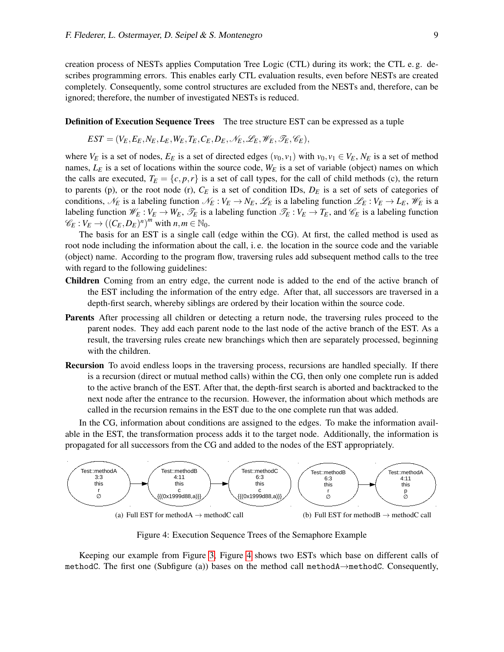creation process of NESTs applies Computation Tree Logic (CTL) during its work; the CTL e. g. describes programming errors. This enables early CTL evaluation results, even before NESTs are created completely. Consequently, some control structures are excluded from the NESTs and, therefore, can be ignored; therefore, the number of investigated NESTs is reduced.

#### **Definition of Execution Sequence Trees** The tree structure EST can be expressed as a tuple

$$
EST = (V_E, E_E, N_E, L_E, W_E, T_E, C_E, D_E, \mathscr{N}_E, \mathscr{L}_E, \mathscr{W}_E, \mathscr{T}_E, \mathscr{C}_E),
$$

where  $V_E$  is a set of nodes,  $E_E$  is a set of directed edges  $(v_0, v_1)$  with  $v_0, v_1 \in V_E$ ,  $N_E$  is a set of method names,  $L<sub>E</sub>$  is a set of locations within the source code,  $W<sub>E</sub>$  is a set of variable (object) names on which the calls are executed,  $T_E = \{c, p, r\}$  is a set of call types, for the call of child methods (c), the return to parents (p), or the root node (r),  $C_E$  is a set of condition IDs,  $D_E$  is a set of sets of categories of conditions,  $\mathcal{N}_E$  is a labeling function  $\mathcal{N}_E : V_E \to N_E$ ,  $\mathcal{L}_E$  is a labeling function  $\mathcal{L}_E : V_E \to L_E$ ,  $\mathcal{W}_E$  is a labeling function  $\mathcal{W}_E : V_E \to W_E$ ,  $\mathcal{T}_E$  is a labeling function  $\mathcal{T}_E : V_E \to T_E$ , and  $\mathcal{C}_E$  is a labeling function  $\mathscr{C}_E : V_E \to ((C_E, D_E)^n)^m$  with  $n, m \in \mathbb{N}_0$ .

The basis for an EST is a single call (edge within the CG). At first, the called method is used as root node including the information about the call, i. e. the location in the source code and the variable (object) name. According to the program flow, traversing rules add subsequent method calls to the tree with regard to the following guidelines:

- Children Coming from an entry edge, the current node is added to the end of the active branch of the EST including the information of the entry edge. After that, all successors are traversed in a depth-first search, whereby siblings are ordered by their location within the source code.
- Parents After processing all children or detecting a return node, the traversing rules proceed to the parent nodes. They add each parent node to the last node of the active branch of the EST. As a result, the traversing rules create new branchings which then are separately processed, beginning with the children.
- Recursion To avoid endless loops in the traversing process, recursions are handled specially. If there is a recursion (direct or mutual method calls) within the CG, then only one complete run is added to the active branch of the EST. After that, the depth-first search is aborted and backtracked to the next node after the entrance to the recursion. However, the information about which methods are called in the recursion remains in the EST due to the one complete run that was added.

In the CG, information about conditions are assigned to the edges. To make the information available in the EST, the transformation process adds it to the target node. Additionally, the information is propagated for all successors from the CG and added to the nodes of the EST appropriately.



<span id="page-8-0"></span>Figure 4: Execution Sequence Trees of the Semaphore Example

Keeping our example from Figure [3,](#page-6-0) Figure [4](#page-8-0) shows two ESTs which base on different calls of methodC. The first one (Subfigure (a)) bases on the method call methodA→methodC. Consequently,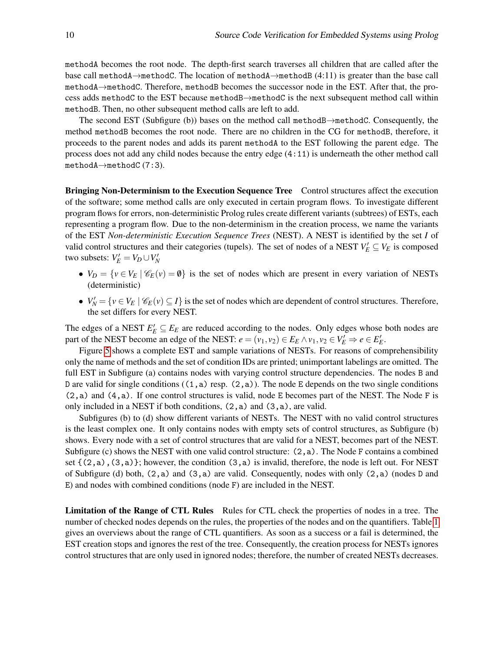methodA becomes the root node. The depth-first search traverses all children that are called after the base call methodA→methodC. The location of methodA→methodB (4:11) is greater than the base call methodA→methodC. Therefore, methodB becomes the successor node in the EST. After that, the process adds methodC to the EST because methodB→methodC is the next subsequent method call within methodB. Then, no other subsequent method calls are left to add.

The second EST (Subfigure (b)) bases on the method call methodB→methodC. Consequently, the method methodB becomes the root node. There are no children in the CG for methodB, therefore, it proceeds to the parent nodes and adds its parent methodA to the EST following the parent edge. The process does not add any child nodes because the entry edge (4:11) is underneath the other method call methodA→methodC (7:3).

<span id="page-9-0"></span>Bringing Non-Determinism to the Execution Sequence Tree Control structures affect the execution of the software; some method calls are only executed in certain program flows. To investigate different program flows for errors, non-deterministic Prolog rules create different variants (subtrees) of ESTs, each representing a program flow. Due to the non-determinism in the creation process, we name the variants of the EST *Non-deterministic Execution Sequence Trees* (NEST). A NEST is identified by the set *I* of valid control structures and their categories (tupels). The set of nodes of a NEST  $V'_E \subseteq V_E$  is composed  $\mathbf{I} \mathbf{w}$  subsets:  $V'_E = V_D \cup V'_N$ 

- $V_D = \{v \in V_E \mid \mathscr{C}_E(v) = \emptyset\}$  is the set of nodes which are present in every variation of NESTs (deterministic)
- $V'_N = \{v \in V_E \mid \mathscr{C}_E(v) \subseteq I\}$  is the set of nodes which are dependent of control structures. Therefore, the set differs for every NEST.

The edges of a NEST  $E'_E \subseteq E_E$  are reduced according to the nodes. Only edges whose both nodes are part of the NEST become an edge of the NEST:  $e = (v_1, v_2) \in E_E \land v_1, v_2 \in V'_E \Rightarrow e \in E'_E$ .

Figure [5](#page-10-0) shows a complete EST and sample variations of NESTs. For reasons of comprehensibility only the name of methods and the set of condition IDs are printed; unimportant labelings are omitted. The full EST in Subfigure (a) contains nodes with varying control structure dependencies. The nodes B and D are valid for single conditions  $((1, a)$  resp.  $(2, a)$ ). The node E depends on the two single conditions (2,a) and (4,a). If one control structures is valid, node E becomes part of the NEST. The Node F is only included in a NEST if both conditions, (2,a) and (3,a), are valid.

Subfigures (b) to (d) show different variants of NESTs. The NEST with no valid control structures is the least complex one. It only contains nodes with empty sets of control structures, as Subfigure (b) shows. Every node with a set of control structures that are valid for a NEST, becomes part of the NEST. Subfigure (c) shows the NEST with one valid control structure:  $(2,a)$ . The Node F contains a combined set  $\{(2,a), (3,a)\}$ ; however, the condition  $(3,a)$  is invalid, therefore, the node is left out. For NEST of Subfigure (d) both,  $(2,a)$  and  $(3,a)$  are valid. Consequently, nodes with only  $(2,a)$  (nodes D and E) and nodes with combined conditions (node F) are included in the NEST.

Limitation of the Range of CTL Rules Rules for CTL check the properties of nodes in a tree. The number of checked nodes depends on the rules, the properties of the nodes and on the quantifiers. Table [1](#page-10-1) gives an overviews about the range of CTL quantifiers. As soon as a success or a fail is determined, the EST creation stops and ignores the rest of the tree. Consequently, the creation process for NESTs ignores control structures that are only used in ignored nodes; therefore, the number of created NESTs decreases.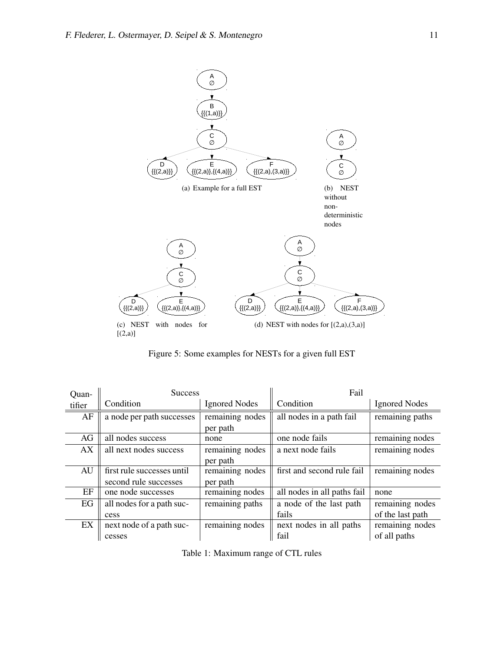

<span id="page-10-0"></span>Figure 5: Some examples for NESTs for a given full EST

| Quan-  | <b>Success</b>             |                      | Fail                        |                      |
|--------|----------------------------|----------------------|-----------------------------|----------------------|
| tifier | Condition                  | <b>Ignored Nodes</b> | Condition                   | <b>Ignored Nodes</b> |
| AF     | a node per path successes  | remaining nodes      | all nodes in a path fail    | remaining paths      |
|        |                            | per path             |                             |                      |
| AG     | all nodes success          | none                 | one node fails              | remaining nodes      |
| AX     | all next nodes success     | remaining nodes      | a next node fails           | remaining nodes      |
|        |                            | per path             |                             |                      |
| AU     | first rule successes until | remaining nodes      | first and second rule fail  | remaining nodes      |
|        | second rule successes      | per path             |                             |                      |
| EF     | one node successes         | remaining nodes      | all nodes in all paths fail | none                 |
| EG     | all nodes for a path suc-  | remaining paths      | a node of the last path     | remaining nodes      |
|        | cess                       |                      | fails                       | of the last path     |
| EX     | next node of a path suc-   | remaining nodes      | next nodes in all paths     | remaining nodes      |
|        | cesses                     |                      | fail                        | of all paths         |

<span id="page-10-1"></span>Table 1: Maximum range of CTL rules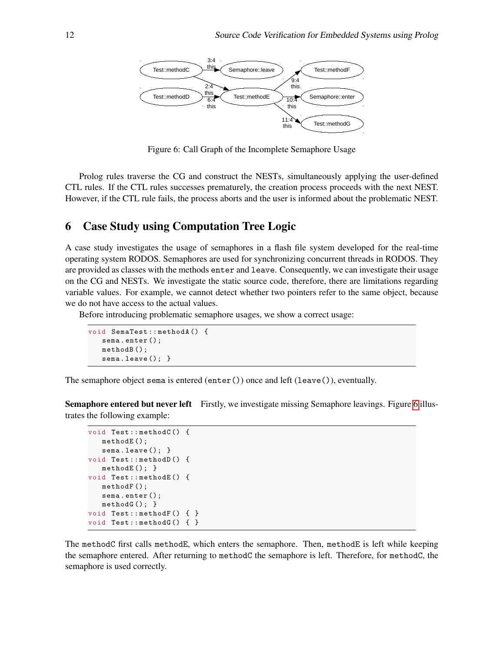

<span id="page-11-1"></span>Figure 6: Call Graph of the Incomplete Semaphore Usage

Prolog rules traverse the CG and construct the NESTs, simultaneously applying the user-defined CTL rules. If the CTL rules successes prematurely, the creation process proceeds with the next NEST. However, if the CTL rule fails, the process aborts and the user is informed about the problematic NEST.

#### <span id="page-11-0"></span>6 Case Study using Computation Tree Logic

A case study investigates the usage of semaphores in a flash file system developed for the real-time operating system RODOS. Semaphores are used for synchronizing concurrent threads in RODOS. They are provided as classes with the methods enter and leave. Consequently, we can investigate their usage on the CG and NESTs. We investigate the static source code, therefore, there are limitations regarding variable values. For example, we cannot detect whether two pointers refer to the same object, because we do not have access to the actual values.

Before introducing problematic semaphore usages, we show a correct usage:

```
void SemaTest :: methodA () {
   sema . enter ();
   methodB ();
   sema.leave(); }
```
The semaphore object sema is entered (enter()) once and left (leave()), eventually.

Semaphore entered but never left Firstly, we investigate missing Semaphore leavings. Figure [6](#page-11-1) illustrates the following example:

```
void Test :: methodC () {
   methodE();
   sema.leave(); }
void Test :: methodD () {
   methodE(); }
void Test :: methodE () {
   methodF ();
   sema . enter ();
   methodG(): }
void Test::methodF() { }
void Test::methodG() { }
```
The methodC first calls methodE, which enters the semaphore. Then, methodE is left while keeping the semaphore entered. After returning to methodC the semaphore is left. Therefore, for methodC, the semaphore is used correctly.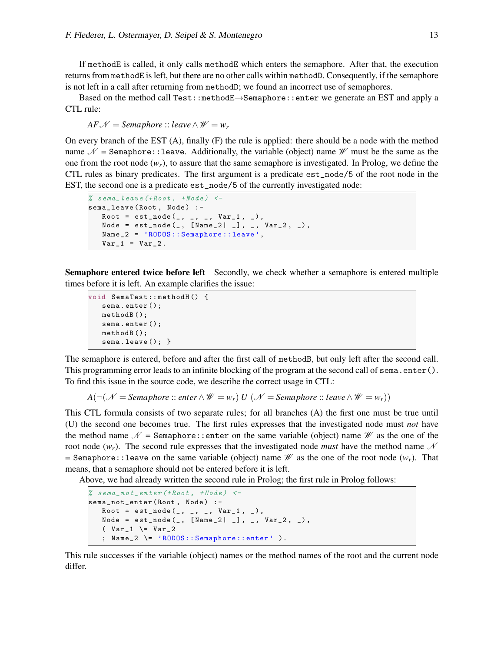If methodE is called, it only calls methodE which enters the semaphore. After that, the execution returns from methodE is left, but there are no other calls within methodD. Consequently, if the semaphore is not left in a call after returning from methodD; we found an incorrect use of semaphores.

Based on the method call Test::methodE→Semaphore::enter we generate an EST and apply a CTL rule:

 $AF\mathscr{N} =$ *Semaphore* :: *leave*  $\wedge \mathscr{W} = w_r$ 

On every branch of the EST (A), finally (F) the rule is applied: there should be a node with the method name  $\mathcal{N}$  = Semaphore:: leave. Additionally, the variable (object) name  $\mathcal{W}$  must be the same as the one from the root node  $(w_r)$ , to assure that the same semaphore is investigated. In Prolog, we define the CTL rules as binary predicates. The first argument is a predicate est\_node/5 of the root node in the EST, the second one is a predicate est\_node/5 of the currently investigated node:

```
% sema_leave (+Root, +Node) <-
sema_leave (Root, Node) :-
  Root = est\_node(, _, _, _ Var_1, _Node = est\_node(_, [Name_2 | _], _, Var_2, _),
   Name_2 = 'RODOS :: Semaphore :: leave ',
   Var_1 = Var_2.
```
Semaphore entered twice before left Secondly, we check whether a semaphore is entered multiple times before it is left. An example clarifies the issue:

```
void SemaTest :: methodH () {
   sema . enter ();
   methodB ();
   sema . enter ();
   methodB ();
   sema.leave(); }
```
The semaphore is entered, before and after the first call of methodB, but only left after the second call. This programming error leads to an infinite blocking of the program at the second call of sema.enter(). To find this issue in the source code, we describe the correct usage in CTL:

*A*( $\neg$ (*N* = *Semaphore* :: *enter* ∧ *W* = *w<sub>r</sub>*)</sub> *U* (*N* = *Semaphore* :: *leave* ∧ *W* = *w<sub>r</sub>*))

This CTL formula consists of two separate rules; for all branches (A) the first one must be true until (U) the second one becomes true. The first rules expresses that the investigated node must *not* have the method name  $\mathcal N$  = Semaphore:: enter on the same variable (object) name  $\mathcal W$  as the one of the root node  $(w_r)$ . The second rule expresses that the investigated node *must* have the method name  $\mathcal N$ = Semaphore::leave on the same variable (object) name  $\mathcal W$  as the one of the root node  $(w_r)$ . That means, that a semaphore should not be entered before it is left.

Above, we had already written the second rule in Prolog; the first rule in Prolog follows:

```
% sema_not_enter (+Root, +Node) <-
sema_not_enter (Root, Node) :-
  Root = est\_node(, _,, ', Var_1, '),
   Node = est\_node( , [Name_2 | ], _, Var_2, _),
   \sqrt{2} \sqrt{2}; Name_2 \= 'RODOS :: Semaphore :: enter ' ).
```
This rule successes if the variable (object) names or the method names of the root and the current node differ.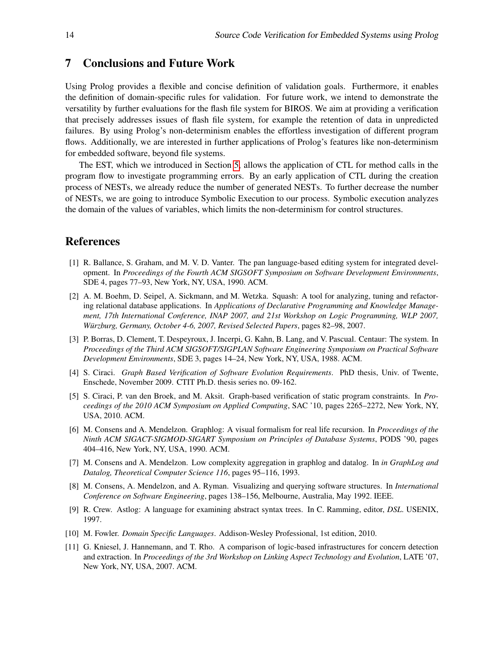#### <span id="page-13-10"></span>7 Conclusions and Future Work

Using Prolog provides a flexible and concise definition of validation goals. Furthermore, it enables the definition of domain-specific rules for validation. For future work, we intend to demonstrate the versatility by further evaluations for the flash file system for BIROS. We aim at providing a verification that precisely addresses issues of flash file system, for example the retention of data in unpredicted failures. By using Prolog's non-determinism enables the effortless investigation of different program flows. Additionally, we are interested in further applications of Prolog's features like non-determinism for embedded software, beyond file systems.

The EST, which we introduced in Section [5,](#page-7-0) allows the application of CTL for method calls in the program flow to investigate programming errors. By an early application of CTL during the creation process of NESTs, we already reduce the number of generated NESTs. To further decrease the number of NESTs, we are going to introduce Symbolic Execution to our process. Symbolic execution analyzes the domain of the values of variables, which limits the non-determinism for control structures.

#### References

- <span id="page-13-8"></span>[1] R. Ballance, S. Graham, and M. V. D. Vanter. The pan language-based editing system for integrated development. In *Proceedings of the Fourth ACM SIGSOFT Symposium on Software Development Environments*, SDE 4, pages 77–93, New York, NY, USA, 1990. ACM.
- <span id="page-13-9"></span>[2] A. M. Boehm, D. Seipel, A. Sickmann, and M. Wetzka. Squash: A tool for analyzing, tuning and refactoring relational database applications. In *Applications of Declarative Programming and Knowledge Management, 17th International Conference, INAP 2007, and 21st Workshop on Logic Programming, WLP 2007, Würzburg, Germany, October 4-6, 2007, Revised Selected Papers, pages 82-98, 2007.*
- <span id="page-13-7"></span>[3] P. Borras, D. Clement, T. Despeyroux, J. Incerpi, G. Kahn, B. Lang, and V. Pascual. Centaur: The system. In *Proceedings of the Third ACM SIGSOFT/SIGPLAN Software Engineering Symposium on Practical Software Development Environments*, SDE 3, pages 14–24, New York, NY, USA, 1988. ACM.
- <span id="page-13-4"></span>[4] S. Ciraci. *Graph Based Verification of Software Evolution Requirements*. PhD thesis, Univ. of Twente, Enschede, November 2009. CTIT Ph.D. thesis series no. 09-162.
- <span id="page-13-5"></span>[5] S. Ciraci, P. van den Broek, and M. Aksit. Graph-based verification of static program constraints. In *Proceedings of the 2010 ACM Symposium on Applied Computing*, SAC '10, pages 2265–2272, New York, NY, USA, 2010. ACM.
- <span id="page-13-1"></span>[6] M. Consens and A. Mendelzon. Graphlog: A visual formalism for real life recursion. In *Proceedings of the Ninth ACM SIGACT-SIGMOD-SIGART Symposium on Principles of Database Systems*, PODS '90, pages 404–416, New York, NY, USA, 1990. ACM.
- <span id="page-13-2"></span>[7] M. Consens and A. Mendelzon. Low complexity aggregation in graphlog and datalog. In *in GraphLog and Datalog, Theoretical Computer Science 116*, pages 95–116, 1993.
- <span id="page-13-3"></span>[8] M. Consens, A. Mendelzon, and A. Ryman. Visualizing and querying software structures. In *International Conference on Software Engineering*, pages 138–156, Melbourne, Australia, May 1992. IEEE.
- <span id="page-13-6"></span>[9] R. Crew. Astlog: A language for examining abstract syntax trees. In C. Ramming, editor, *DSL*. USENIX, 1997.
- [10] M. Fowler. *Domain Specific Languages*. Addison-Wesley Professional, 1st edition, 2010.
- <span id="page-13-0"></span>[11] G. Kniesel, J. Hannemann, and T. Rho. A comparison of logic-based infrastructures for concern detection and extraction. In *Proceedings of the 3rd Workshop on Linking Aspect Technology and Evolution*, LATE '07, New York, NY, USA, 2007. ACM.